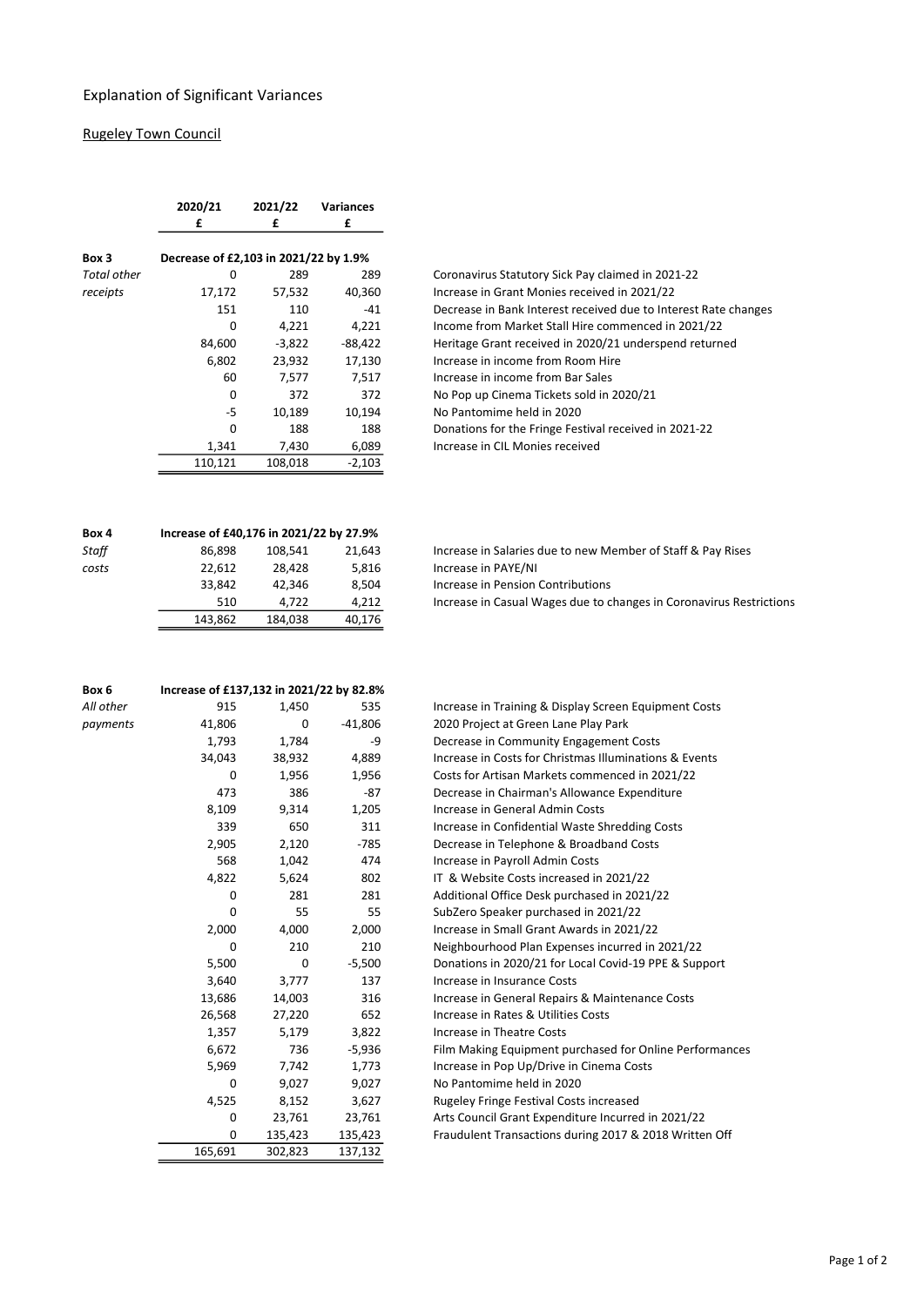## Explanation of Significant Variances

## Rugeley Town Council

|                    | 2020/21                                  | 2021/22          | Variances         |                                                                                              |
|--------------------|------------------------------------------|------------------|-------------------|----------------------------------------------------------------------------------------------|
|                    | £                                        | £                | £                 |                                                                                              |
| Box 3              | Decrease of £2,103 in 2021/22 by 1.9%    |                  |                   |                                                                                              |
| <b>Total other</b> | 0                                        | 289              | 289               | Coronavirus Statutory Sick Pay claimed in 2021-22                                            |
| receipts           | 17,172                                   | 57,532           | 40,360            | Increase in Grant Monies received in 2021/22                                                 |
|                    | 151                                      | 110              | -41               | Decrease in Bank Interest received due to Interest Rate changes                              |
|                    | 0                                        | 4,221            | 4,221             | Income from Market Stall Hire commenced in 2021/22                                           |
|                    | 84,600                                   | $-3,822$         | $-88,422$         | Heritage Grant received in 2020/21 underspend returned                                       |
|                    | 6,802                                    | 23,932           | 17,130            | Increase in income from Room Hire                                                            |
|                    | 60                                       | 7,577            | 7,517             | Increase in income from Bar Sales                                                            |
|                    | 0                                        | 372              | 372               | No Pop up Cinema Tickets sold in 2020/21                                                     |
|                    | -5                                       | 10,189           | 10,194            | No Pantomime held in 2020                                                                    |
|                    | 0                                        | 188              | 188               | Donations for the Fringe Festival received in 2021-22                                        |
|                    |                                          |                  |                   |                                                                                              |
|                    | 1,341<br>110,121                         | 7,430<br>108,018 | 6,089<br>$-2,103$ | Increase in CIL Monies received                                                              |
|                    |                                          |                  |                   |                                                                                              |
| Box 4              | Increase of £40,176 in 2021/22 by 27.9%  |                  |                   |                                                                                              |
| Staff              | 86,898                                   | 108,541          | 21,643            | Increase in Salaries due to new Member of Staff & Pay Rises                                  |
| costs              | 22,612                                   | 28,428           | 5,816             | Increase in PAYE/NI                                                                          |
|                    | 33,842                                   | 42,346           | 8,504             | Increase in Pension Contributions                                                            |
|                    | 510                                      | 4,722            | 4,212             | Increase in Casual Wages due to changes in Coronavirus Restrictions                          |
|                    | 143,862                                  | 184,038          | 40,176            |                                                                                              |
| Box 6              | Increase of £137,132 in 2021/22 by 82.8% |                  |                   |                                                                                              |
| All other          | 915                                      | 1,450            | 535               | Increase in Training & Display Screen Equipment Costs                                        |
| payments           | 41,806                                   | 0                | $-41,806$         | 2020 Project at Green Lane Play Park                                                         |
|                    | 1,793                                    | 1,784            | -9                | Decrease in Community Engagement Costs                                                       |
|                    | 34,043                                   | 38,932           | 4,889             | Increase in Costs for Christmas Illuminations & Events                                       |
|                    | 0                                        | 1,956            | 1,956             | Costs for Artisan Markets commenced in 2021/22                                               |
|                    | 473                                      | 386              | -87               | Decrease in Chairman's Allowance Expenditure                                                 |
|                    | 8,109                                    | 9,314            | 1,205             | Increase in General Admin Costs                                                              |
|                    | 339                                      | 650              | 311               | Increase in Confidential Waste Shredding Costs                                               |
|                    | 2,905                                    | 2,120            | $-785$            | Decrease in Telephone & Broadband Costs                                                      |
|                    | 568                                      | 1,042            | 474               | Increase in Payroll Admin Costs                                                              |
|                    | 4,822                                    | 5,624            | 802               | IT & Website Costs increased in 2021/22                                                      |
|                    | 0                                        | 281              | 281               | Additional Office Desk purchased in 2021/22<br>SubZero Speaker purchased in 2021/22          |
|                    | 0                                        | 55               | 55                |                                                                                              |
|                    | 2,000                                    | 4,000<br>210     | 2,000<br>210      | Increase in Small Grant Awards in 2021/22<br>Neighbourhood Plan Expenses incurred in 2021/22 |
|                    | 0                                        | 0                |                   |                                                                                              |
|                    | 5,500                                    |                  | $-5,500$<br>137   | Donations in 2020/21 for Local Covid-19 PPE & Support                                        |
|                    | 3,640                                    | 3,777            |                   | Increase in Insurance Costs                                                                  |
|                    | 13,686<br>26,568                         | 14,003<br>27,220 | 316<br>652        | Increase in General Repairs & Maintenance Costs<br>Increase in Rates & Utilities Costs       |
|                    | 1,357                                    | 5,179            |                   | Increase in Theatre Costs                                                                    |
|                    | 6,672                                    | 736              | 3,822<br>$-5,936$ | Film Making Equipment purchased for Online Performances                                      |
|                    |                                          |                  | 1,773             | Increase in Pop Up/Drive in Cinema Costs                                                     |
|                    | 5,969<br>0                               | 7,742<br>9,027   | 9,027             | No Pantomime held in 2020                                                                    |
|                    | 4,525                                    | 8,152            | 3,627             | Rugeley Fringe Festival Costs increased                                                      |
|                    | 0                                        | 23,761           |                   | Arts Council Grant Expenditure Incurred in 2021/22                                           |
|                    | 0                                        | 135,423          | 23,761<br>135,423 | Fraudulent Transactions during 2017 & 2018 Written Off                                       |
|                    | 165,691                                  | 302,823          | 137,132           |                                                                                              |
|                    |                                          |                  |                   |                                                                                              |